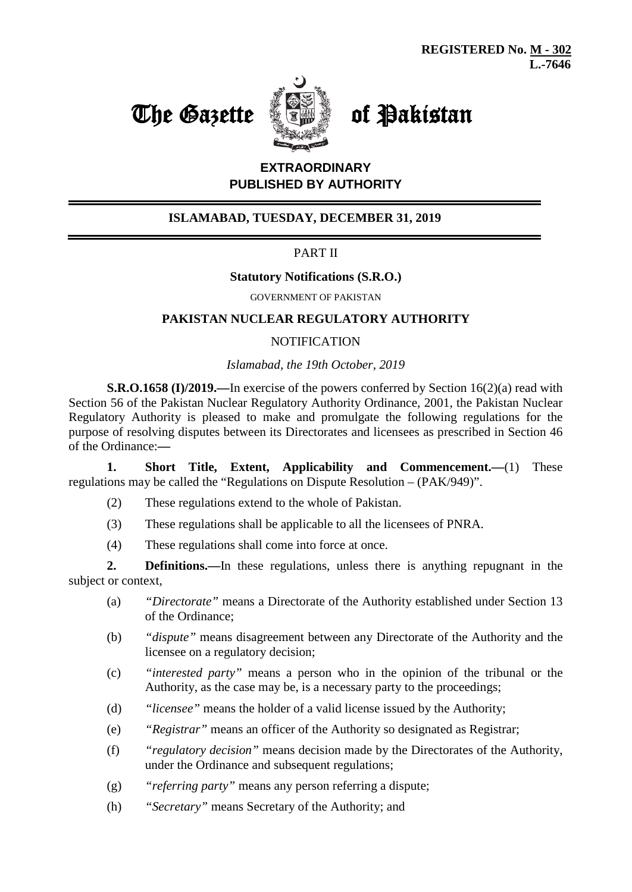# The Gazette **of Pakistan**



# **EXTRAORDINARY PUBLISHED BY AUTHORITY**

## **ISLAMABAD, TUESDAY, DECEMBER 31, 2019**

## PART II

#### **Statutory Notifications (S.R.O.)**

GOVERNMENT OF PAKISTAN

#### **PAKISTAN NUCLEAR REGULATORY AUTHORITY**

#### **NOTIFICATION**

#### *Islamabad, the 19th October, 2019*

**S.R.O.1658 (I)/2019.—**In exercise of the powers conferred by Section 16(2)(a) read with Section 56 of the Pakistan Nuclear Regulatory Authority Ordinance, 2001, the Pakistan Nuclear Regulatory Authority is pleased to make and promulgate the following regulations for the purpose of resolving disputes between its Directorates and licensees as prescribed in Section 46 of the Ordinance:**—**

**1. Short Title, Extent, Applicability and Commencement.—**(1) These regulations may be called the "Regulations on Dispute Resolution – (PAK/949)".

- (2) These regulations extend to the whole of Pakistan.
- (3) These regulations shall be applicable to all the licensees of PNRA.
- (4) These regulations shall come into force at once.

**2. Definitions.—**In these regulations, unless there is anything repugnant in the subject or context,

- (a) *"Directorate"* means a Directorate of the Authority established under Section 13 of the Ordinance;
- (b) *"dispute"* means disagreement between any Directorate of the Authority and the licensee on a regulatory decision;
- (c) *"interested party"* means a person who in the opinion of the tribunal or the Authority, as the case may be, is a necessary party to the proceedings;
- (d) *"licensee"* means the holder of a valid license issued by the Authority;
- (e) *"Registrar"* means an officer of the Authority so designated as Registrar;
- (f) *"regulatory decision"* means decision made by the Directorates of the Authority, under the Ordinance and subsequent regulations;
- (g) *"referring party"* means any person referring a dispute;
- (h) *"Secretary"* means Secretary of the Authority; and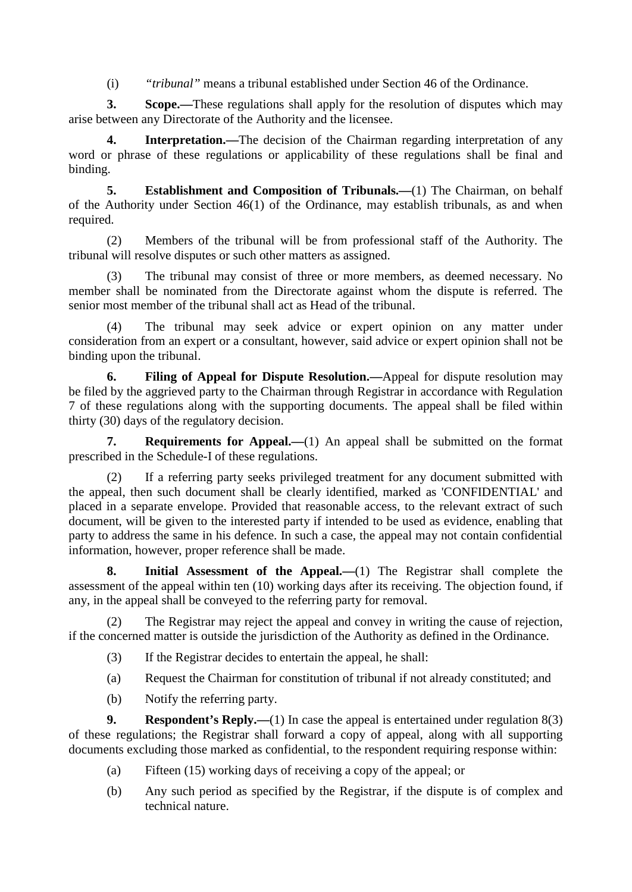(i) *"tribunal"* means a tribunal established under Section 46 of the Ordinance.

**3. Scope.—**These regulations shall apply for the resolution of disputes which may arise between any Directorate of the Authority and the licensee.

**4. Interpretation.—**The decision of the Chairman regarding interpretation of any word or phrase of these regulations or applicability of these regulations shall be final and binding.

**5. Establishment and Composition of Tribunals.—**(1) The Chairman, on behalf of the Authority under Section 46(1) of the Ordinance, may establish tribunals, as and when required.

(2) Members of the tribunal will be from professional staff of the Authority. The tribunal will resolve disputes or such other matters as assigned.

The tribunal may consist of three or more members, as deemed necessary. No member shall be nominated from the Directorate against whom the dispute is referred. The senior most member of the tribunal shall act as Head of the tribunal.

(4) The tribunal may seek advice or expert opinion on any matter under consideration from an expert or a consultant, however, said advice or expert opinion shall not be binding upon the tribunal.

**6. Filing of Appeal for Dispute Resolution.—**Appeal for dispute resolution may be filed by the aggrieved party to the Chairman through Registrar in accordance with Regulation 7 of these regulations along with the supporting documents. The appeal shall be filed within thirty (30) days of the regulatory decision.

**7. Requirements for Appeal.—**(1) An appeal shall be submitted on the format prescribed in the Schedule-I of these regulations.

(2) If a referring party seeks privileged treatment for any document submitted with the appeal, then such document shall be clearly identified, marked as 'CONFIDENTIAL' and placed in a separate envelope. Provided that reasonable access, to the relevant extract of such document, will be given to the interested party if intended to be used as evidence, enabling that party to address the same in his defence. In such a case, the appeal may not contain confidential information, however, proper reference shall be made.

**8. Initial Assessment of the Appeal.—**(1) The Registrar shall complete the assessment of the appeal within ten (10) working days after its receiving. The objection found, if any, in the appeal shall be conveyed to the referring party for removal.

(2) The Registrar may reject the appeal and convey in writing the cause of rejection, if the concerned matter is outside the jurisdiction of the Authority as defined in the Ordinance.

- (3) If the Registrar decides to entertain the appeal, he shall:
- (a) Request the Chairman for constitution of tribunal if not already constituted; and
- (b) Notify the referring party.

**9. Respondent's Reply.**—(1) In case the appeal is entertained under regulation 8(3) of these regulations; the Registrar shall forward a copy of appeal, along with all supporting documents excluding those marked as confidential, to the respondent requiring response within:

- (a) Fifteen (15) working days of receiving a copy of the appeal; or
- (b) Any such period as specified by the Registrar, if the dispute is of complex and technical nature.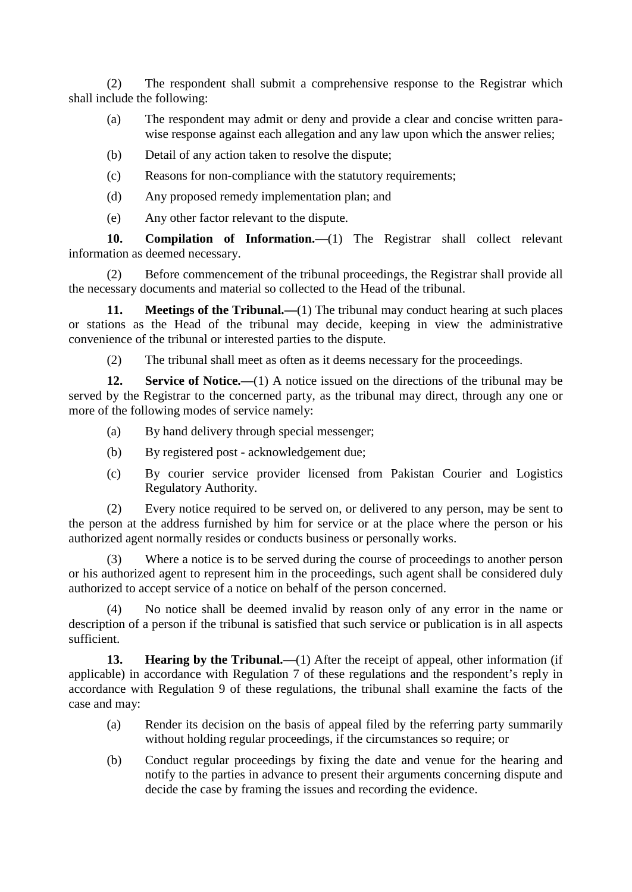(2) The respondent shall submit a comprehensive response to the Registrar which shall include the following:

- (a) The respondent may admit or deny and provide a clear and concise written parawise response against each allegation and any law upon which the answer relies;
- (b) Detail of any action taken to resolve the dispute;
- (c) Reasons for non-compliance with the statutory requirements;
- (d) Any proposed remedy implementation plan; and
- (e) Any other factor relevant to the dispute.

**10. Compilation of Information.—**(1) The Registrar shall collect relevant information as deemed necessary.

(2) Before commencement of the tribunal proceedings, the Registrar shall provide all the necessary documents and material so collected to the Head of the tribunal.

**11. Meetings of the Tribunal.—(1)** The tribunal may conduct hearing at such places or stations as the Head of the tribunal may decide, keeping in view the administrative convenience of the tribunal or interested parties to the dispute.

(2) The tribunal shall meet as often as it deems necessary for the proceedings.

**12. Service of Notice.**—(1) A notice issued on the directions of the tribunal may be served by the Registrar to the concerned party, as the tribunal may direct, through any one or more of the following modes of service namely:

- (a) By hand delivery through special messenger;
- (b) By registered post acknowledgement due;
- (c) By courier service provider licensed from Pakistan Courier and Logistics Regulatory Authority.

(2) Every notice required to be served on, or delivered to any person, may be sent to the person at the address furnished by him for service or at the place where the person or his authorized agent normally resides or conducts business or personally works.

(3) Where a notice is to be served during the course of proceedings to another person or his authorized agent to represent him in the proceedings, such agent shall be considered duly authorized to accept service of a notice on behalf of the person concerned.

No notice shall be deemed invalid by reason only of any error in the name or description of a person if the tribunal is satisfied that such service or publication is in all aspects sufficient.

**13. Hearing by the Tribunal.**—(1) After the receipt of appeal, other information (if applicable) in accordance with Regulation 7 of these regulations and the respondent's reply in accordance with Regulation 9 of these regulations, the tribunal shall examine the facts of the case and may:

- (a) Render its decision on the basis of appeal filed by the referring party summarily without holding regular proceedings, if the circumstances so require; or
- (b) Conduct regular proceedings by fixing the date and venue for the hearing and notify to the parties in advance to present their arguments concerning dispute and decide the case by framing the issues and recording the evidence.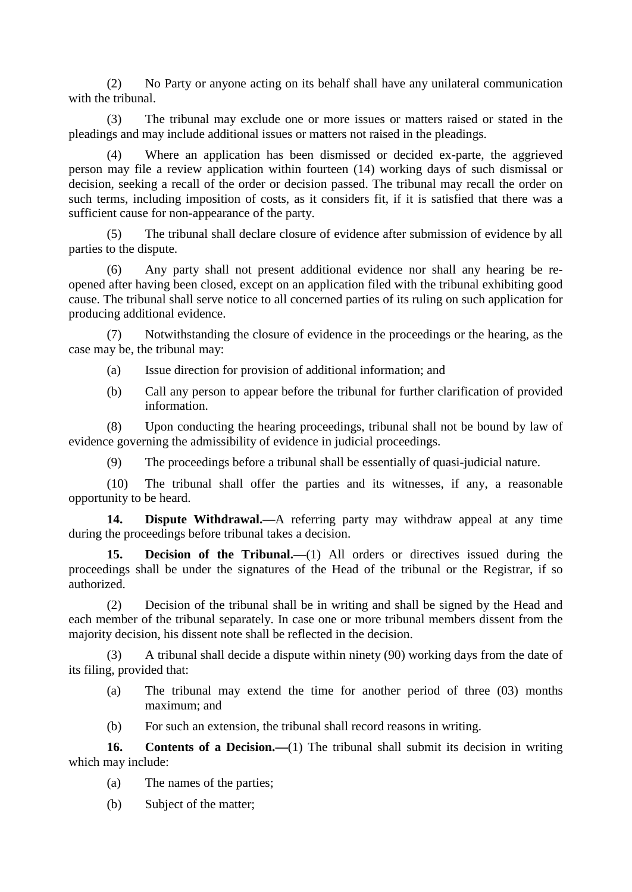(2) No Party or anyone acting on its behalf shall have any unilateral communication with the tribunal.

(3) The tribunal may exclude one or more issues or matters raised or stated in the pleadings and may include additional issues or matters not raised in the pleadings.

(4) Where an application has been dismissed or decided ex-parte, the aggrieved person may file a review application within fourteen (14) working days of such dismissal or decision, seeking a recall of the order or decision passed. The tribunal may recall the order on such terms, including imposition of costs, as it considers fit, if it is satisfied that there was a sufficient cause for non-appearance of the party.

(5) The tribunal shall declare closure of evidence after submission of evidence by all parties to the dispute.

(6) Any party shall not present additional evidence nor shall any hearing be reopened after having been closed, except on an application filed with the tribunal exhibiting good cause. The tribunal shall serve notice to all concerned parties of its ruling on such application for producing additional evidence.

(7) Notwithstanding the closure of evidence in the proceedings or the hearing, as the case may be, the tribunal may:

- (a) Issue direction for provision of additional information; and
- (b) Call any person to appear before the tribunal for further clarification of provided information.

(8) Upon conducting the hearing proceedings, tribunal shall not be bound by law of evidence governing the admissibility of evidence in judicial proceedings.

(9) The proceedings before a tribunal shall be essentially of quasi-judicial nature.

(10) The tribunal shall offer the parties and its witnesses, if any, a reasonable opportunity to be heard.

**14. Dispute Withdrawal.—**A referring party may withdraw appeal at any time during the proceedings before tribunal takes a decision.

**15. Decision of the Tribunal.—**(1) All orders or directives issued during the proceedings shall be under the signatures of the Head of the tribunal or the Registrar, if so authorized.

(2) Decision of the tribunal shall be in writing and shall be signed by the Head and each member of the tribunal separately. In case one or more tribunal members dissent from the majority decision, his dissent note shall be reflected in the decision.

(3) A tribunal shall decide a dispute within ninety (90) working days from the date of its filing, provided that:

- (a) The tribunal may extend the time for another period of three (03) months maximum; and
- (b) For such an extension, the tribunal shall record reasons in writing.

**16. Contents of a Decision.—**(1) The tribunal shall submit its decision in writing which may include:

- (a) The names of the parties;
- (b) Subject of the matter;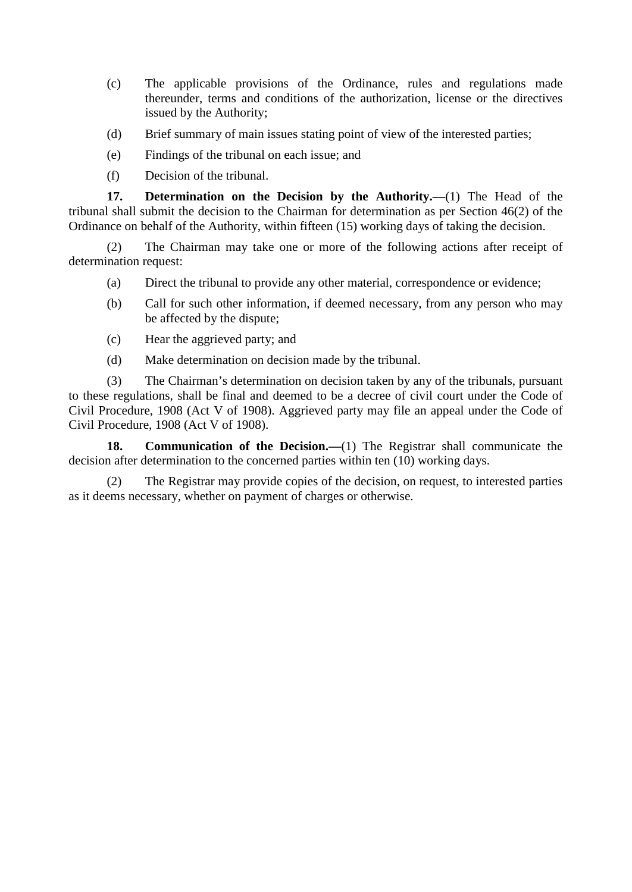- (c) The applicable provisions of the Ordinance, rules and regulations made thereunder, terms and conditions of the authorization, license or the directives issued by the Authority;
- (d) Brief summary of main issues stating point of view of the interested parties;
- (e) Findings of the tribunal on each issue; and
- (f) Decision of the tribunal.

**17. Determination on the Decision by the Authority.—**(1) The Head of the tribunal shall submit the decision to the Chairman for determination as per Section 46(2) of the Ordinance on behalf of the Authority, within fifteen (15) working days of taking the decision.

(2) The Chairman may take one or more of the following actions after receipt of determination request:

- (a) Direct the tribunal to provide any other material, correspondence or evidence;
- (b) Call for such other information, if deemed necessary, from any person who may be affected by the dispute;
- (c) Hear the aggrieved party; and
- (d) Make determination on decision made by the tribunal.

(3) The Chairman's determination on decision taken by any of the tribunals, pursuant to these regulations, shall be final and deemed to be a decree of civil court under the Code of Civil Procedure, 1908 (Act V of 1908). Aggrieved party may file an appeal under the Code of Civil Procedure, 1908 (Act V of 1908).

**18. Communication of the Decision.—**(1) The Registrar shall communicate the decision after determination to the concerned parties within ten (10) working days.

(2) The Registrar may provide copies of the decision, on request, to interested parties as it deems necessary, whether on payment of charges or otherwise.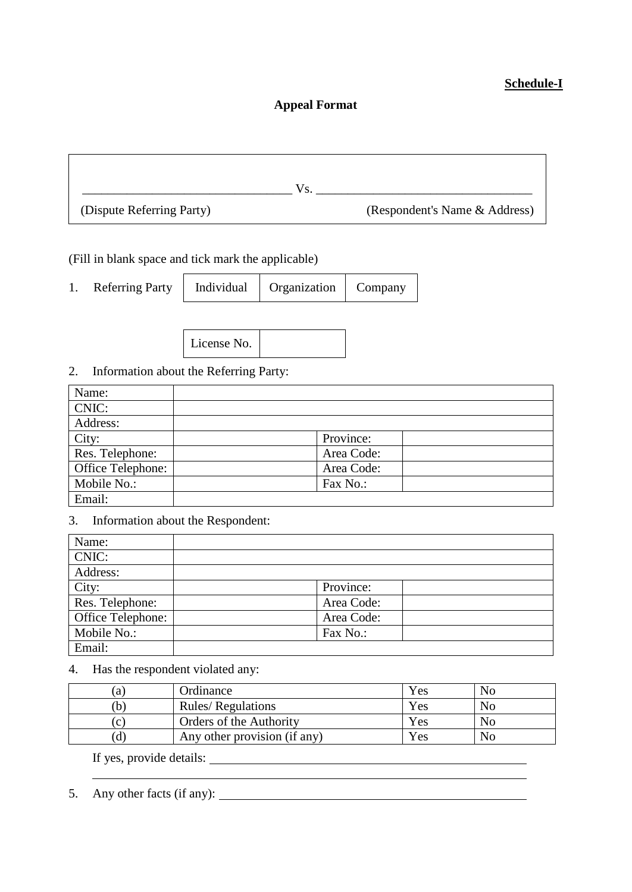## **Schedule-I**

### **Appeal Format**

|                           | Vs |                               |
|---------------------------|----|-------------------------------|
| (Dispute Referring Party) |    | (Respondent's Name & Address) |

(Fill in blank space and tick mark the applicable)

| <b>Referring Party</b> | Individual | Organization | Company |
|------------------------|------------|--------------|---------|
|                        |            |              |         |



# 2. Information about the Referring Party:

| Name:             |            |  |
|-------------------|------------|--|
| CNIC:             |            |  |
| Address:          |            |  |
| City:             | Province:  |  |
| Res. Telephone:   | Area Code: |  |
| Office Telephone: | Area Code: |  |
| Mobile No.:       | Fax No.:   |  |
| Email:            |            |  |

# 3. Information about the Respondent:

| Name:             |            |  |
|-------------------|------------|--|
| CNIC:             |            |  |
| Address:          |            |  |
| City:             | Province:  |  |
| Res. Telephone:   | Area Code: |  |
| Office Telephone: | Area Code: |  |
| Mobile No.:       | Fax No.:   |  |
| Email:            |            |  |

#### 4. Has the respondent violated any:

| a l | Ordinance                    | Yes | N <sub>0</sub> |
|-----|------------------------------|-----|----------------|
|     | <b>Rules/ Regulations</b>    | Yes | N <sub>o</sub> |
| (C) | Orders of the Authority      | Yes | No             |
| Ιd  | Any other provision (if any) | Yes | N <sub>o</sub> |

<u> 1980 - Johann Barn, mars ann an t-Amhain Aonaich an t-Aonaich an t-Aonaich ann an t-Aonaich ann an t-Aonaich</u>

If yes, provide details:

5. Any other facts (if any):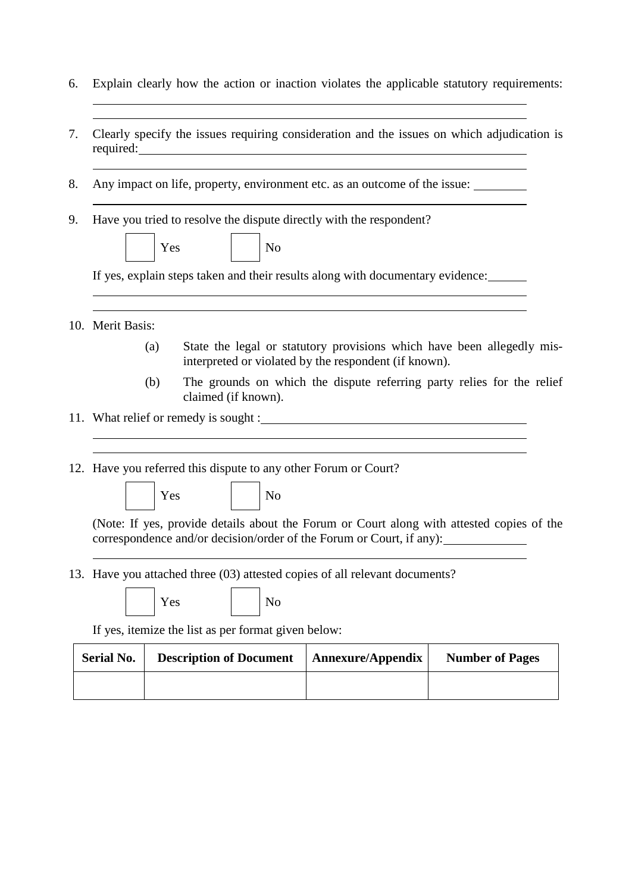- 6. Explain clearly how the action or inaction violates the applicable statutory requirements:
- 7. Clearly specify the issues requiring consideration and the issues on which adjudication is required:
- 8. Any impact on life, property, environment etc. as an outcome of the issue:
- 9. Have you tried to resolve the dispute directly with the respondent?



If yes, explain steps taken and their results along with documentary evidence:

<u> 1980 - Johann Barn, mars ann an t-Amhain Aonaichte ann an t-Amhain Aonaichte ann an t-Amhain Aonaichte ann an</u>

- 10. Merit Basis:
	- (a) State the legal or statutory provisions which have been allegedly misinterpreted or violated by the respondent (if known).
	- (b) The grounds on which the dispute referring party relies for the relief claimed (if known).
- 11. What relief or remedy is sought :

12. Have you referred this dispute to any other Forum or Court?

Yes No

(Note: If yes, provide details about the Forum or Court along with attested copies of the correspondence and/or decision/order of the Forum or Court, if any):

13. Have you attached three (03) attested copies of all relevant documents?

|  | × |
|--|---|
|  |   |

 $\mathbb{R}^s$  No

If yes, itemize the list as per format given below:

| <b>Serial No.</b> | <b>Description of Document</b> | <b>Annexure/Appendix</b> | <b>Number of Pages</b> |
|-------------------|--------------------------------|--------------------------|------------------------|
|                   |                                |                          |                        |